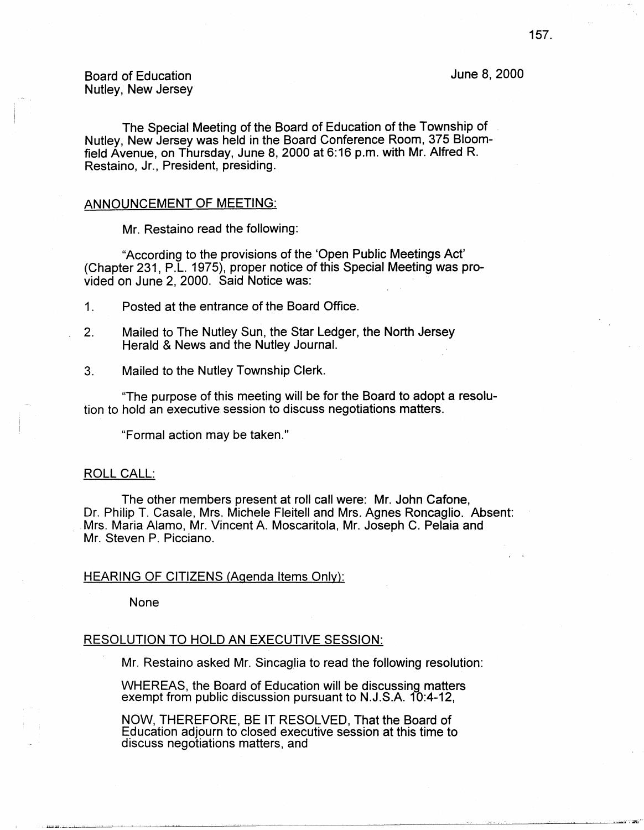June 8, 2000

Board of Education Nutley, New Jersey

The Special Meeting of the Board of Education of the Township of Nutley, New Jersey was held in the Board Conference Room, 375 Bloomfield Avenue, on Thursday, June 8, 2000 at 6:16 p.m. with Mr. Alfred R. Restaino, Jr., President, presiding.

### ANNOUNCEMENT OF MEETING:

Mr. Restaino read the following:

"According to the provisions of the 'Open Public Meetings Act' (Chapter 231, P.L. 1975), proper notice of this Special Meeting was provided on June 2, 2000. Said Notice was:

1. Posted at the entrance of the Board Office.

- 2. Mailed to The Nutley Sun, the Star Ledger, the North Jersey Herald & News and the Nutley Journal.
- 3. Mailed to the Nutley Township Clerk.

"The purpose of this meeting will be for the Board to adopt a resolution to hold an executive session to discuss negotiations matters.

"Formal action may be taken."

#### ROLL CALL:

The other members present at roll call were: Mr. John Catone, Dr. Philip T. Casale, Mrs. Michele Fleitell and Mrs. Agnes Roncaglio. Absent: Mrs. Maria Alamo, Mr. Vincent A. Moscaritola, Mr. Joseph C. Pelaia and Mr. Steven P. Picciano.

## HEARING OF CITIZENS (Agenda Items Only):

None

# RESOLUTION TO HOLD AN EXECUTIVE SESSION:

Mr. Restaino asked Mr. Sincaglia to read the following resolution:

WHEREAS, the Board of Education will be discussing matters exempt from public discussion pursuant to N.J.S.A. 10:4-12,

NOW, THEREFORE, BE IT RESOLVED, That the Board of Education adjourn to closed executive session at this time to discuss negotiations matters, and

-,, .. ,--a·